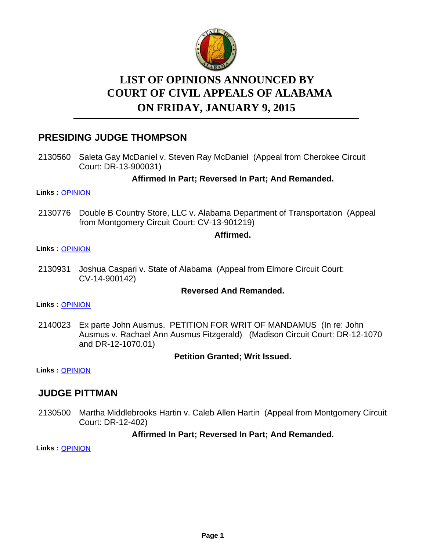

# **LIST OF OPINIONS ANNOUNCED BY ON FRIDAY, JANUARY 9, 2015 COURT OF CIVIL APPEALS OF ALABAMA**

# **PRESIDING JUDGE THOMPSON**

2130560 Saleta Gay McDaniel v. Steven Ray McDaniel (Appeal from Cherokee Circuit Court: DR-13-900031)

## **Affirmed In Part; Reversed In Part; And Remanded.**

#### **Links :** [OPINION](https://acis.alabama.gov/displaydocs.cfm?no=631229&event=4960JGVDY)

2130776 Double B Country Store, LLC v. Alabama Department of Transportation (Appeal from Montgomery Circuit Court: CV-13-901219)

#### **Affirmed.**

#### **Links :** [OPINION](https://acis.alabama.gov/displaydocs.cfm?no=631231&event=4960JGVWL)

Joshua Caspari v. State of Alabama (Appeal from Elmore Circuit Court: CV-14-900142) 2130931

#### **Reversed And Remanded.**

**Links :** [OPINION](https://acis.alabama.gov/displaydocs.cfm?no=631233&event=4960JGWUE)

2140023 Ex parte John Ausmus. PETITION FOR WRIT OF MANDAMUS (In re: John Ausmus v. Rachael Ann Ausmus Fitzgerald) (Madison Circuit Court: DR-12-1070 and DR-12-1070.01)

#### **Petition Granted; Writ Issued.**

**Links :** [OPINION](https://acis.alabama.gov/displaydocs.cfm?no=631235&event=4960JGXCL)

# **JUDGE PITTMAN**

2130500 Martha Middlebrooks Hartin v. Caleb Allen Hartin (Appeal from Montgomery Circuit Court: DR-12-402)

## **Affirmed In Part; Reversed In Part; And Remanded.**

**Links :** [OPINION](https://acis.alabama.gov/displaydocs.cfm?no=631227&event=4960JGU0K)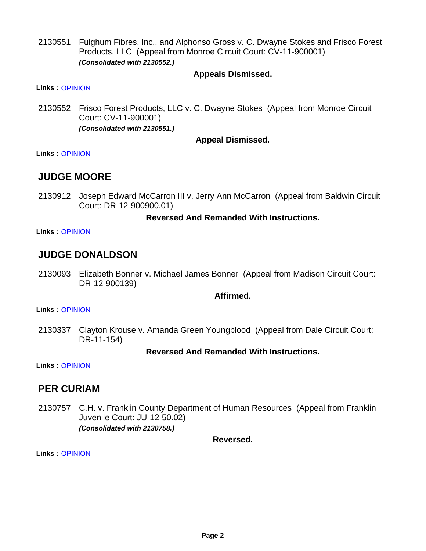Fulghum Fibres, Inc., and Alphonso Gross v. C. Dwayne Stokes and Frisco Forest Products, LLC (Appeal from Monroe Circuit Court: CV-11-900001) *(Consolidated with 2130552.)* 2130551

## **Appeals Dismissed.**

**Links :** [OPINION](https://acis.alabama.gov/displaydocs.cfm?no=631228&event=4960JGU6M)

2130552 Frisco Forest Products, LLC v. C. Dwayne Stokes (Appeal from Monroe Circuit Court: CV-11-900001) *(Consolidated with 2130551.)*

## **Appeal Dismissed.**

**Links :** [OPINION](https://acis.alabama.gov/displaydocs.cfm?no=631228&event=4960JGU6M)

# **JUDGE MOORE**

2130912 Joseph Edward McCarron III v. Jerry Ann McCarron (Appeal from Baldwin Circuit Court: DR-12-900900.01)

#### **Reversed And Remanded With Instructions.**

**Links :** [OPINION](https://acis.alabama.gov/displaydocs.cfm?no=631232&event=4960JGW3J)

# **JUDGE DONALDSON**

2130093 Elizabeth Bonner v. Michael James Bonner (Appeal from Madison Circuit Court: DR-12-900139)

## **Affirmed.**

**Links :** [OPINION](https://acis.alabama.gov/displaydocs.cfm?no=631225&event=4960JGTBU)

2130337 Clayton Krouse v. Amanda Green Youngblood (Appeal from Dale Circuit Court: DR-11-154)

## **Reversed And Remanded With Instructions.**

**Links :** [OPINION](https://acis.alabama.gov/displaydocs.cfm?no=631226&event=4960JGTU2)

## **PER CURIAM**

2130757 C.H. v. Franklin County Department of Human Resources (Appeal from Franklin Juvenile Court: JU-12-50.02) *(Consolidated with 2130758.)*

**Reversed.**

**Links :** [OPINION](https://acis.alabama.gov/displaydocs.cfm?no=631230&event=4960JGVM6)